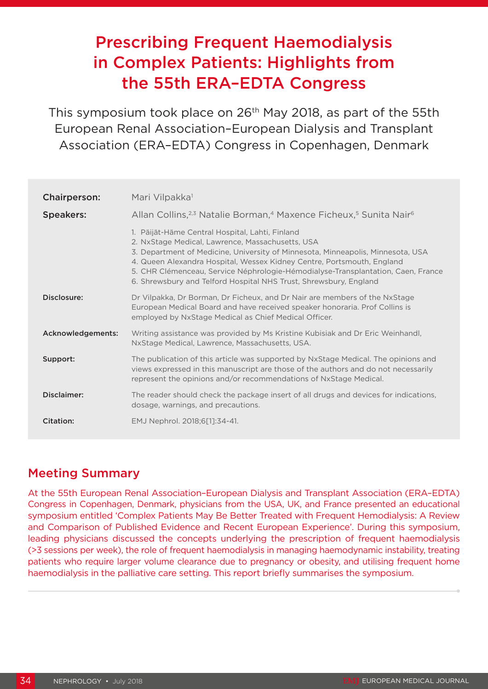# Prescribing Frequent Haemodialysis in Complex Patients: Highlights from the 55th ERA–EDTA Congress

This symposium took place on 26<sup>th</sup> May 2018, as part of the 55th European Renal Association–European Dialysis and Transplant Association (ERA–EDTA) Congress in Copenhagen, Denmark

| <b>Chairperson:</b> | Mari Vilpakka <sup>1</sup>                                                                                                                                                                                                                                                                                                                                                                                                |
|---------------------|---------------------------------------------------------------------------------------------------------------------------------------------------------------------------------------------------------------------------------------------------------------------------------------------------------------------------------------------------------------------------------------------------------------------------|
| <b>Speakers:</b>    | Allan Collins, <sup>2,3</sup> Natalie Borman, <sup>4</sup> Maxence Ficheux, <sup>5</sup> Sunita Nair <sup>6</sup>                                                                                                                                                                                                                                                                                                         |
|                     | 1. Päijät-Häme Central Hospital, Lahti, Finland<br>2. NxStage Medical, Lawrence, Massachusetts, USA<br>3. Department of Medicine, University of Minnesota, Minneapolis, Minnesota, USA<br>4. Queen Alexandra Hospital, Wessex Kidney Centre, Portsmouth, England<br>5. CHR Clémenceau, Service Néphrologie-Hémodialyse-Transplantation, Caen, France<br>6. Shrewsbury and Telford Hospital NHS Trust, Shrewsbury, England |
| Disclosure:         | Dr Vilpakka, Dr Borman, Dr Ficheux, and Dr Nair are members of the NxStage<br>European Medical Board and have received speaker honoraria. Prof Collins is<br>employed by NxStage Medical as Chief Medical Officer.                                                                                                                                                                                                        |
| Acknowledgements:   | Writing assistance was provided by Ms Kristine Kubisiak and Dr Eric Weinhandl,<br>NxStage Medical, Lawrence, Massachusetts, USA.                                                                                                                                                                                                                                                                                          |
| Support:            | The publication of this article was supported by NxStage Medical. The opinions and<br>views expressed in this manuscript are those of the authors and do not necessarily<br>represent the opinions and/or recommendations of NxStage Medical.                                                                                                                                                                             |
| Disclaimer:         | The reader should check the package insert of all drugs and devices for indications,<br>dosage, warnings, and precautions.                                                                                                                                                                                                                                                                                                |
| Citation:           | EMJ Nephrol. 2018;6[1]:34-41.                                                                                                                                                                                                                                                                                                                                                                                             |

# Meeting Summary

At the 55th European Renal Association–European Dialysis and Transplant Association (ERA–EDTA) Congress in Copenhagen, Denmark, physicians from the USA, UK, and France presented an educational symposium entitled 'Complex Patients May Be Better Treated with Frequent Hemodialysis: A Review and Comparison of Published Evidence and Recent European Experience'. During this symposium, leading physicians discussed the concepts underlying the prescription of frequent haemodialysis (>3 sessions per week), the role of frequent haemodialysis in managing haemodynamic instability, treating patients who require larger volume clearance due to pregnancy or obesity, and utilising frequent home haemodialysis in the palliative care setting. This report briefly summarises the symposium.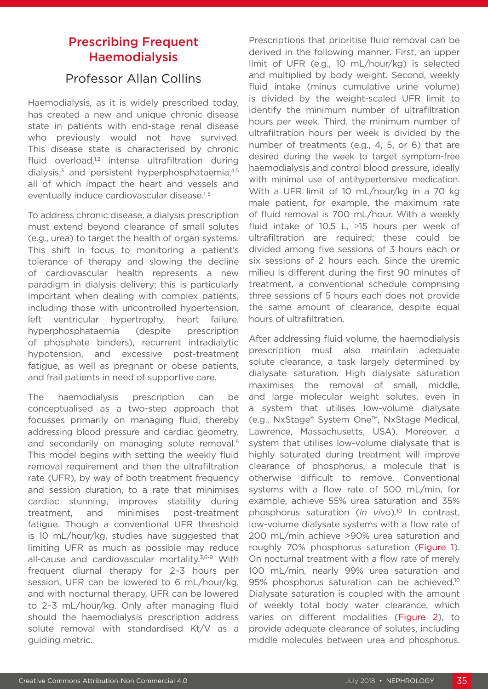# Prescribing Frequent **Haemodialysis**

### Professor Allan Collins

Haemodialysis, as it is widely prescribed today, has created a new and unique chronic disease state in patients with end-stage renal disease who previously would not have survived. This disease state is characterised by chronic fluid overload, $1,2$  intense ultrafiltration during dialysis, $3$  and persistent hyperphosphataemia, $4,5$ all of which impact the heart and vessels and eventually induce cardiovascular disease.<sup>1-5</sup>

To address chronic disease, a dialysis prescription must extend beyond clearance of small solutes (e.g., urea) to target the health of organ systems. This shift in focus to monitoring a patient's tolerance of therapy and slowing the decline of cardiovascular health represents a new paradigm in dialysis delivery; this is particularly important when dealing with complex patients, including those with uncontrolled hypertension, left ventricular hypertrophy, heart failure, hyperphosphataemia (despite prescription of phosphate binders), recurrent intradialytic hypotension, and excessive post-treatment fatigue, as well as pregnant or obese patients, and frail patients in need of supportive care.

The haemodialysis prescription can be conceptualised as a two-step approach that focusses primarily on managing fluid, thereby addressing blood pressure and cardiac geometry, and secondarily on managing solute removal.<sup>6</sup> This model begins with setting the weekly fluid removal requirement and then the ultrafiltration rate (UFR), by way of both treatment frequency and session duration, to a rate that minimises cardiac stunning, improves stability during treatment, and minimises post-treatment fatigue. Though a conventional UFR threshold is 10 mL/hour/kg, studies have suggested that limiting UFR as much as possible may reduce all-cause and cardiovascular mortality.<sup>3,6-9</sup> With frequent diurnal therapy for 2–3 hours per session, UFR can be lowered to 6 mL/hour/kg, and with nocturnal therapy, UFR can be lowered to 2–3 mL/hour/kg. Only after managing fluid should the haemodialysis prescription address solute removal with standardised Kt/V as a guiding metric.

Prescriptions that prioritise fluid removal can be derived in the following manner. First, an upper limit of UFR (e.g., 10 mL/hour/kg) is selected and multiplied by body weight. Second, weekly fluid intake (minus cumulative urine volume) is divided by the weight-scaled UFR limit to identify the minimum number of ultrafiltration hours per week. Third, the minimum number of ultrafiltration hours per week is divided by the number of treatments (e.g., 4, 5, or 6) that are desired during the week to target symptom-free haemodialysis and control blood pressure, ideally with minimal use of antihypertensive medication. With a UFR limit of 10 mL/hour/kg in a 70 kg male patient, for example, the maximum rate of fluid removal is 700 mL/hour. With a weekly fluid intake of 10.5 L,  $\geq$ 15 hours per week of ultrafiltration are required; these could be divided among five sessions of 3 hours each or six sessions of 2 hours each. Since the uremic milieu is different during the first 90 minutes of treatment, a conventional schedule comprising three sessions of 5 hours each does not provide the same amount of clearance, despite equal hours of ultrafiltration.

After addressing fluid volume, the haemodialysis prescription must also maintain adequate solute clearance, a task largely determined by dialysate saturation. High dialysate saturation maximises the removal of small, middle, and large molecular weight solutes, even in a system that utilises low-volume dialysate (e.g., NxStage® System One™, NxStage Medical, Lawrence, Massachusetts, USA). Moreover, a system that utilises low-volume dialysate that is highly saturated during treatment will improve clearance of phosphorus, a molecule that is otherwise difficult to remove. Conventional systems with a flow rate of 500 mL/min, for example, achieve 55% urea saturation and 35% phosphorus saturation (*in vivo*).10 In contrast, low-volume dialysate systems with a flow rate of 200 mL/min achieve >90% urea saturation and roughly 70% phosphorus saturation (Figure 1). On nocturnal treatment with a flow rate of merely 100 mL/min, nearly 99% urea saturation and 95% phosphorus saturation can be achieved.<sup>10</sup> Dialysate saturation is coupled with the amount of weekly total body water clearance, which varies on different modalities (Figure 2), to provide adequate clearance of solutes, including middle molecules between urea and phosphorus.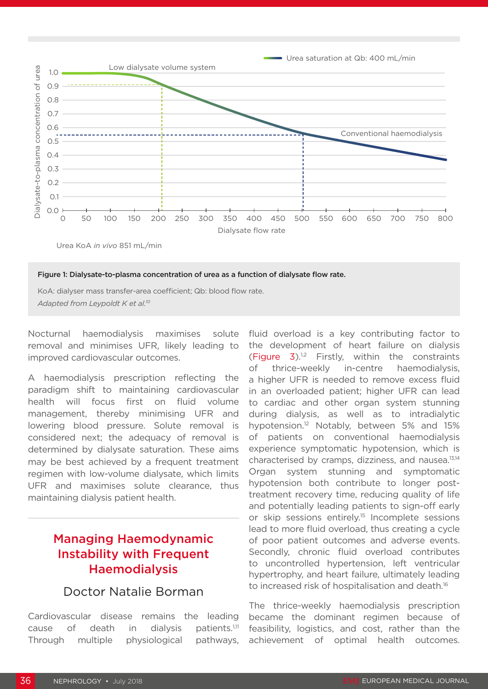



KoA: dialyser mass transfer-area coefficient; Qb: blood flow rate. *Adapted from Leypoldt K et al.10*

Nocturnal haemodialysis maximises solute removal and minimises UFR, likely leading to improved cardiovascular outcomes.

A haemodialysis prescription reflecting the paradigm shift to maintaining cardiovascular health will focus first on fluid volume management, thereby minimising UFR and lowering blood pressure. Solute removal is considered next; the adequacy of removal is determined by dialysate saturation. These aims may be best achieved by a frequent treatment regimen with low-volume dialysate, which limits UFR and maximises solute clearance, thus maintaining dialysis patient health.

# Managing Haemodynamic Instability with Frequent **Haemodialysis**

#### Doctor Natalie Borman

Cardiovascular disease remains the leading cause of death in dialysis patients. $1,11$ Through multiple physiological pathways, fluid overload is a key contributing factor to the development of heart failure on dialysis (Figure  $3$ ).<sup>1,2</sup> Firstly, within the constraints of thrice-weekly in-centre haemodialysis, a higher UFR is needed to remove excess fluid in an overloaded patient; higher UFR can lead to cardiac and other organ system stunning during dialysis, as well as to intradialytic hypotension.12 Notably, between 5% and 15% of patients on conventional haemodialysis experience symptomatic hypotension, which is characterised by cramps, dizziness, and nausea.13,14 Organ system stunning and symptomatic hypotension both contribute to longer posttreatment recovery time, reducing quality of life and potentially leading patients to sign-off early or skip sessions entirely.15 Incomplete sessions lead to more fluid overload, thus creating a cycle of poor patient outcomes and adverse events. Secondly, chronic fluid overload contributes to uncontrolled hypertension, left ventricular hypertrophy, and heart failure, ultimately leading to increased risk of hospitalisation and death.<sup>16</sup>

The thrice-weekly haemodialysis prescription became the dominant regimen because of feasibility, logistics, and cost, rather than the achievement of optimal health outcomes.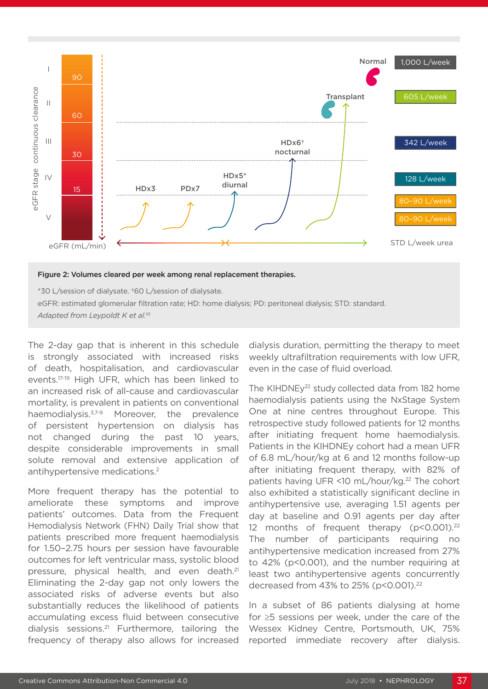

\*30 L/session of dialysate. †60 L/session of dialysate. eGFR: estimated glomerular filtration rate; HD: home dialysis; PD: peritoneal dialysis; STD: standard.

*Adapted from Leypoldt K et al.10*

The 2-day gap that is inherent in this schedule is strongly associated with increased risks of death, hospitalisation, and cardiovascular events.17-19 High UFR, which has been linked to an increased risk of all-cause and cardiovascular mortality, is prevalent in patients on conventional haemodialysis.3,7-9 Moreover, the prevalence of persistent hypertension on dialysis has not changed during the past 10 years, despite considerable improvements in small solute removal and extensive application of antihypertensive medications.2

More frequent therapy has the potential to ameliorate these symptoms and improve patients' outcomes. Data from the Frequent Hemodialysis Network (FHN) Daily Trial show that patients prescribed more frequent haemodialysis for 1.50–2.75 hours per session have favourable outcomes for left ventricular mass, systolic blood pressure, physical health, and even death.<sup>21</sup> Eliminating the 2-day gap not only lowers the associated risks of adverse events but also substantially reduces the likelihood of patients accumulating excess fluid between consecutive dialysis sessions.21 Furthermore, tailoring the frequency of therapy also allows for increased

dialysis duration, permitting the therapy to meet weekly ultrafiltration requirements with low UFR, even in the case of fluid overload.

The KIHDNEy<sup>22</sup> study collected data from 182 home haemodialysis patients using the NxStage System One at nine centres throughout Europe. This retrospective study followed patients for 12 months after initiating frequent home haemodialysis. Patients in the KIHDNEy cohort had a mean UFR of 6.8 mL/hour/kg at 6 and 12 months follow-up after initiating frequent therapy, with 82% of patients having UFR <10 mL/hour/kg.<sup>22</sup> The cohort also exhibited a statistically significant decline in antihypertensive use, averaging 1.51 agents per day at baseline and 0.91 agents per day after 12 months of frequent therapy (p<0.001).<sup>22</sup> The number of participants requiring no antihypertensive medication increased from 27% to 42% (p<0.001), and the number requiring at least two antihypertensive agents concurrently decreased from 43% to 25% (p<0.001).<sup>22</sup>

In a subset of 86 patients dialysing at home for ≥5 sessions per week, under the care of the Wessex Kidney Centre, Portsmouth, UK, 75% reported immediate recovery after dialysis.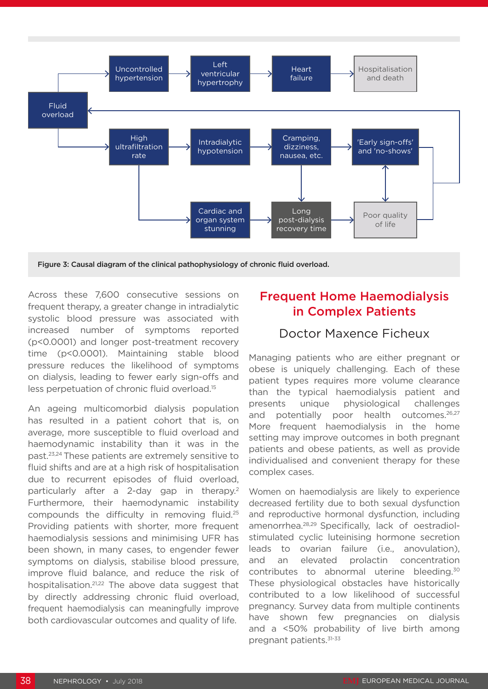

Figure 3: Causal diagram of the clinical pathophysiology of chronic fluid overload.

Across these 7,600 consecutive sessions on frequent therapy, a greater change in intradialytic systolic blood pressure was associated with increased number of symptoms reported (p<0.0001) and longer post-treatment recovery time (p<0.0001). Maintaining stable blood pressure reduces the likelihood of symptoms on dialysis, leading to fewer early sign-offs and less perpetuation of chronic fluid overload.15

An ageing multicomorbid dialysis population has resulted in a patient cohort that is, on average, more susceptible to fluid overload and haemodynamic instability than it was in the past.23,24 These patients are extremely sensitive to fluid shifts and are at a high risk of hospitalisation due to recurrent episodes of fluid overload, particularly after a 2-day gap in therapy.<sup>2</sup> Furthermore, their haemodynamic instability compounds the difficulty in removing fluid.25 Providing patients with shorter, more frequent haemodialysis sessions and minimising UFR has been shown, in many cases, to engender fewer symptoms on dialysis, stabilise blood pressure, improve fluid balance, and reduce the risk of hospitalisation.<sup>21,22</sup> The above data suggest that by directly addressing chronic fluid overload, frequent haemodialysis can meaningfully improve both cardiovascular outcomes and quality of life.

# Frequent Home Haemodialysis in Complex Patients

## Doctor Maxence Ficheux

Managing patients who are either pregnant or obese is uniquely challenging. Each of these patient types requires more volume clearance than the typical haemodialysis patient and presents unique physiological challenges and potentially poor health outcomes.<sup>26,27</sup> More frequent haemodialysis in the home setting may improve outcomes in both pregnant patients and obese patients, as well as provide individualised and convenient therapy for these complex cases.

Women on haemodialysis are likely to experience decreased fertility due to both sexual dysfunction and reproductive hormonal dysfunction, including amenorrhea.28,29 Specifically, lack of oestradiolstimulated cyclic luteinising hormone secretion leads to ovarian failure (i.e., anovulation), and an elevated prolactin concentration contributes to abnormal uterine bleeding.30 These physiological obstacles have historically contributed to a low likelihood of successful pregnancy. Survey data from multiple continents have shown few pregnancies on dialysis and a <50% probability of live birth among pregnant patients.31-33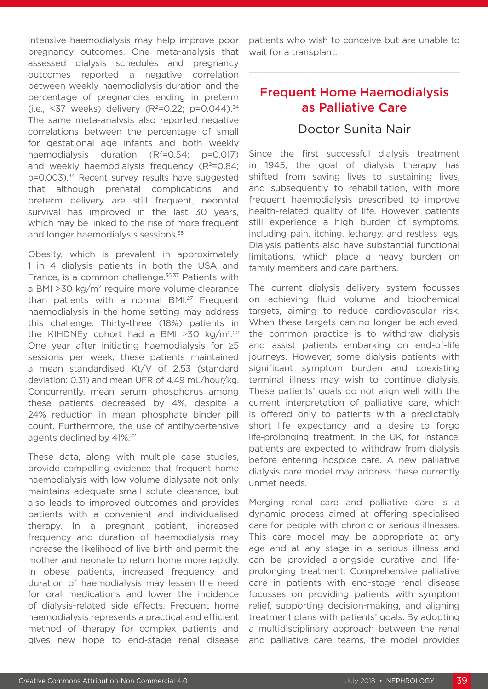Intensive haemodialysis may help improve poor pregnancy outcomes. One meta-analysis that assessed dialysis schedules and pregnancy outcomes reported a negative correlation between weekly haemodialysis duration and the percentage of pregnancies ending in preterm (i.e., <37 weeks) delivery ( $R^2$ =0.22; p=0.044).<sup>34</sup> The same meta-analysis also reported negative correlations between the percentage of small for gestational age infants and both weekly haemodialysis duration  $(R^2=0.54; p=0.017)$ and weekly haemodialysis frequency  $(R^2=0.84;$ p=0.003).34 Recent survey results have suggested that although prenatal complications and preterm delivery are still frequent, neonatal survival has improved in the last 30 years, which may be linked to the rise of more frequent and longer haemodialysis sessions.<sup>35</sup>

Obesity, which is prevalent in approximately 1 in 4 dialysis patients in both the USA and France, is a common challenge.<sup>36,37</sup> Patients with a BMI >30 kg/m2 require more volume clearance than patients with a normal BMI.<sup>27</sup> Frequent haemodialysis in the home setting may address this challenge. Thirty-three (18%) patients in the KIHDNEy cohort had a BMI ≥30 kg/m<sup>2,22</sup> One year after initiating haemodialysis for ≥5 sessions per week, these patients maintained a mean standardised Kt/V of 2.53 (standard deviation: 0.31) and mean UFR of 4.49 mL/hour/kg. Concurrently, mean serum phosphorus among these patients decreased by 4%, despite a 24% reduction in mean phosphate binder pill count. Furthermore, the use of antihypertensive agents declined by 41%.22

These data, along with multiple case studies, provide compelling evidence that frequent home haemodialysis with low-volume dialysate not only maintains adequate small solute clearance, but also leads to improved outcomes and provides patients with a convenient and individualised therapy. In a pregnant patient, increased frequency and duration of haemodialysis may increase the likelihood of live birth and permit the mother and neonate to return home more rapidly. In obese patients, increased frequency and duration of haemodialysis may lessen the need for oral medications and lower the incidence of dialysis-related side effects. Frequent home haemodialysis represents a practical and efficient method of therapy for complex patients and gives new hope to end-stage renal disease

patients who wish to conceive but are unable to wait for a transplant.

# Frequent Home Haemodialysis as Palliative Care

#### Doctor Sunita Nair

Since the first successful dialysis treatment in 1945, the goal of dialysis therapy has shifted from saving lives to sustaining lives, and subsequently to rehabilitation, with more frequent haemodialysis prescribed to improve health-related quality of life. However, patients still experience a high burden of symptoms, including pain, itching, lethargy, and restless legs. Dialysis patients also have substantial functional limitations, which place a heavy burden on family members and care partners.

The current dialysis delivery system focusses on achieving fluid volume and biochemical targets, aiming to reduce cardiovascular risk. When these targets can no longer be achieved, the common practice is to withdraw dialysis and assist patients embarking on end-of-life journeys. However, some dialysis patients with significant symptom burden and coexisting terminal illness may wish to continue dialysis. These patients' goals do not align well with the current interpretation of palliative care, which is offered only to patients with a predictably short life expectancy and a desire to forgo life-prolonging treatment. In the UK, for instance, patients are expected to withdraw from dialysis before entering hospice care. A new palliative dialysis care model may address these currently unmet needs.

Merging renal care and palliative care is a dynamic process aimed at offering specialised care for people with chronic or serious illnesses. This care model may be appropriate at any age and at any stage in a serious illness and can be provided alongside curative and lifeprolonging treatment. Comprehensive palliative care in patients with end-stage renal disease focusses on providing patients with symptom relief, supporting decision-making, and aligning treatment plans with patients' goals. By adopting a multidisciplinary approach between the renal and palliative care teams, the model provides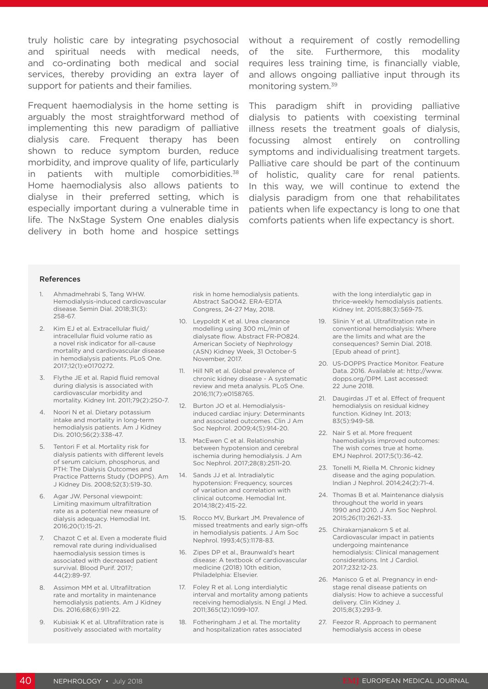truly holistic care by integrating psychosocial without a requirement of costly remodelling and spiritual needs with medical needs, and co-ordinating both medical and social services, thereby providing an extra layer of support for patients and their families.

Frequent haemodialysis in the home setting is arguably the most straightforward method of implementing this new paradigm of palliative dialysis care. Frequent therapy has been shown to reduce symptom burden, reduce morbidity, and improve quality of life, particularly in patients with multiple comorbidities.<sup>38</sup> Home haemodialysis also allows patients to dialyse in their preferred setting, which is especially important during a vulnerable time in life. The NxStage System One enables dialysis delivery in both home and hospice settings

of the site. Furthermore, this modality requires less training time, is financially viable, and allows ongoing palliative input through its monitoring system.39

This paradigm shift in providing palliative dialysis to patients with coexisting terminal illness resets the treatment goals of dialysis, focussing almost entirely on controlling symptoms and individualising treatment targets. Palliative care should be part of the continuum of holistic, quality care for renal patients. In this way, we will continue to extend the dialysis paradigm from one that rehabilitates patients when life expectancy is long to one that comforts patients when life expectancy is short.

#### References

- 1. Ahmadmehrabi S, Tang WHW. Hemodialysis-induced cardiovascular disease. Semin Dial. 2018;31(3): 258-67.
- 2. Kim EJ et al. Extracellular fluid/ intracellular fluid volume ratio as a novel risk indicator for all-cause mortality and cardiovascular disease in hemodialysis patients. PLoS One. 2017;12(1):e0170272.
- 3. Flythe JE et al. Rapid fluid removal during dialysis is associated with cardiovascular morbidity and mortality. Kidney Int. 2011;79(2):250-7.
- 4. Noori N et al. Dietary potassium intake and mortality in long-term hemodialysis patients. Am J Kidney Dis. 2010;56(2):338-47.
- 5. Tentori F et al. Mortality risk for dialysis patients with different levels of serum calcium, phosphorus, and PTH: The Dialysis Outcomes and Practice Patterns Study (DOPPS). Am J Kidney Dis. 2008;52(3):519-30.
- 6. Agar JW. Personal viewpoint: Limiting maximum ultrafiltration rate as a potential new measure of dialysis adequacy. Hemodial Int. 2016;20(1):15-21.
- 7. Chazot C et al. Even a moderate fluid removal rate during individualised haemodialysis session times is associated with decreased patient survival. Blood Purif. 2017; 44(2):89-97.
- 8. Assimon MM et al. Ultrafiltration rate and mortality in maintenance hemodialysis patients. Am J Kidney Dis. 2016;68(6):911-22.
- Kubisiak K et al. Ultrafiltration rate is positively associated with mortality

risk in home hemodialysis patients. Abstract SaO042. ERA-EDTA Congress, 24-27 May, 2018.

- 10. Leypoldt K et al. Urea clearance modelling using 300 mL/min of dialysate flow. Abstract FR-PO824. American Society of Nephrology (ASN) Kidney Week, 31 October-5 November, 2017.
- 11. Hill NR et al. Global prevalence of chronic kidney disease - A systematic review and meta analysis. PLoS One. 2016;11(7):e0158765.
- 12. Burton JO et al. Hemodialysisinduced cardiac injury: Determinants and associated outcomes. Clin J Am Soc Nephrol. 2009;4(5):914-20.
- 13. MacEwen C et al. Relationship between hypotension and cerebral ischemia during hemodialysis. J Am Soc Nephrol. 2017;28(8):2511-20.
- 14. Sands JJ et al. Intradialytic hypotension: Frequency, sources of variation and correlation with clinical outcome. Hemodial Int. 2014;18(2):415-22.
- 15. Rocco MV, Burkart JM. Prevalence of missed treatments and early sign-offs in hemodialysis patients. J Am Soc Nephrol. 1993;4(5):1178-83.
- 16. Zipes DP et al., Braunwald's heart disease: A textbook of cardiovascular medicine (2018) 10th edition, Philadelphia: Elsevier.
- 17. Foley R et al. Long interdialytic interval and mortality among patients receiving hemodialysis. N Engl J Med. 2011;365(12):1099-107.
- 18. Fotheringham J et al. The mortality and hospitalization rates associated

with the long interdialytic gap in thrice-weekly hemodialysis patients. Kidney Int. 2015;88(3):569-75.

- 19. Slinin Y et al. Ultrafiltration rate in conventional hemodialysis: Where are the limits and what are the consequences? Semin Dial. 2018. [Epub ahead of print].
- 20. US-DOPPS Practice Monitor. Feature Data. 2016. Available at: http://www. dopps.org/DPM. Last accessed: 22 June 2018.
- 21. Daugirdas JT et al. Effect of frequent hemodialysis on residual kidney function. Kidney Int. 2013; 83(5):949-58.
- 22. Nair S et al. More frequent haemodialysis improved outcomes: The wish comes true at home. EMJ Nephrol. 2017;5(1):36-42.
- 23. Tonelli M, Riella M. Chronic kidney disease and the aging population. Indian J Nephrol. 2014;24(2):71-4.
- 24. Thomas B et al. Maintenance dialysis throughout the world in years 1990 and 2010. J Am Soc Nephrol. 2015;26(11):2621-33.
- 25. Chirakarnjanakorn S et al. Cardiovascular impact in patients undergoing maintenance hemodialysis: Clinical management considerations. Int J Cardiol. 2017;232:12-23.
- 26. Manisco G et al. Pregnancy in endstage renal disease patients on dialysis: How to achieve a successful delivery. Clin Kidney J. 2015;8(3):293-9.
- 27. Feezor R. Approach to permanent hemodialysis access in obese